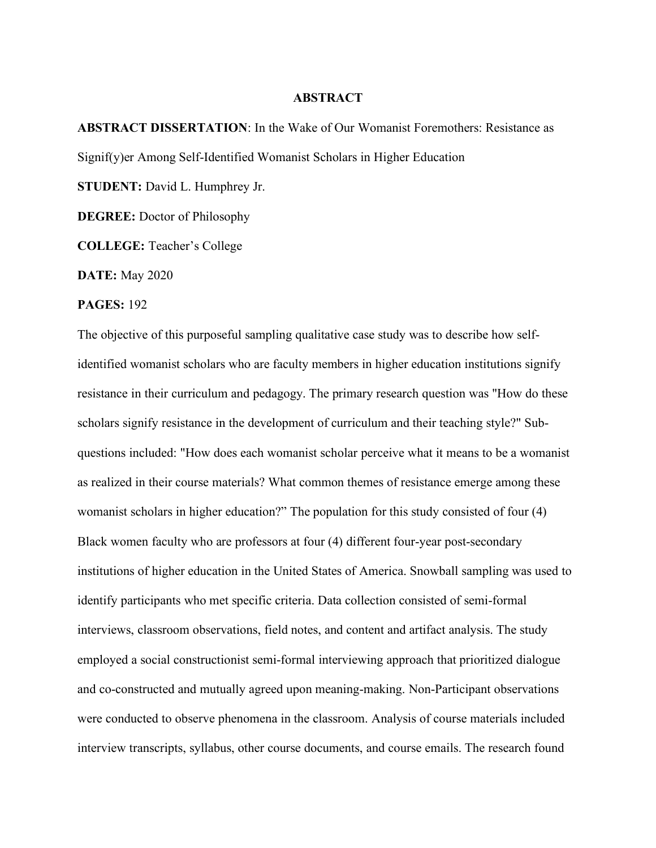## **ABSTRACT**

**ABSTRACT DISSERTATION**: In the Wake of Our Womanist Foremothers: Resistance as Signif(y)er Among Self-Identified Womanist Scholars in Higher Education **STUDENT:** David L. Humphrey Jr.

**DEGREE:** Doctor of Philosophy

**COLLEGE:** Teacher's College

**DATE:** May 2020

## **PAGES:** 192

The objective of this purposeful sampling qualitative case study was to describe how selfidentified womanist scholars who are faculty members in higher education institutions signify resistance in their curriculum and pedagogy. The primary research question was "How do these scholars signify resistance in the development of curriculum and their teaching style?" Subquestions included: "How does each womanist scholar perceive what it means to be a womanist as realized in their course materials? What common themes of resistance emerge among these womanist scholars in higher education?" The population for this study consisted of four (4) Black women faculty who are professors at four (4) different four-year post-secondary institutions of higher education in the United States of America. Snowball sampling was used to identify participants who met specific criteria. Data collection consisted of semi-formal interviews, classroom observations, field notes, and content and artifact analysis. The study employed a social constructionist semi-formal interviewing approach that prioritized dialogue and co-constructed and mutually agreed upon meaning-making. Non-Participant observations were conducted to observe phenomena in the classroom. Analysis of course materials included interview transcripts, syllabus, other course documents, and course emails. The research found